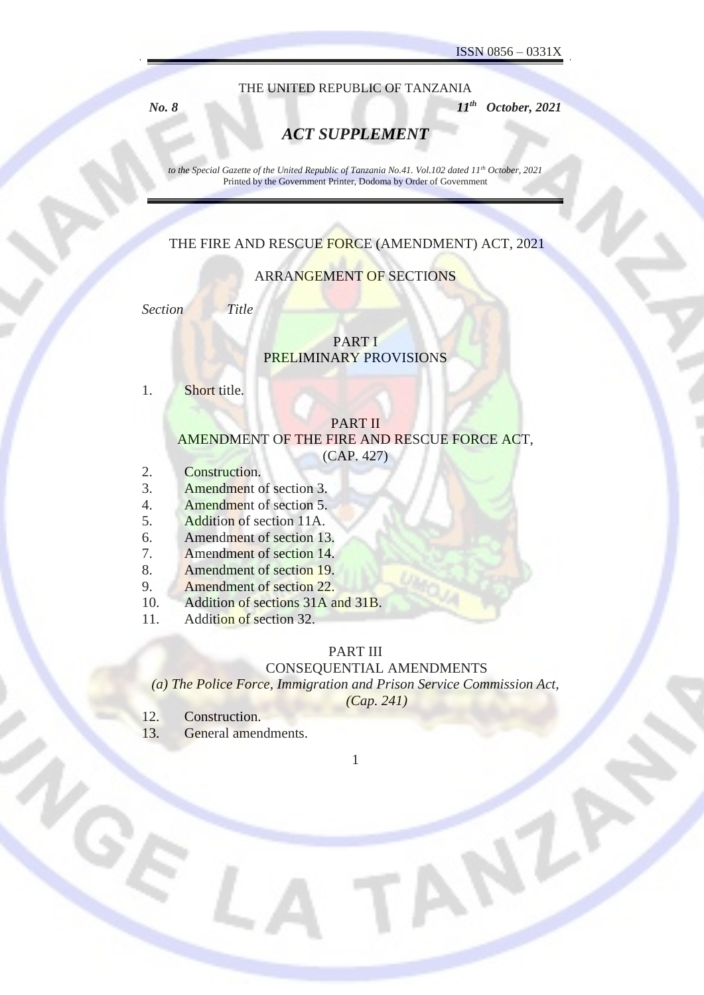**No. 8**<sup>2</sup> **Figure Force** *Force Force Force Force Force Force Force Force Force Force*  $R$ 

#### THE UNITED REPUBLIC OF TANZANIA

*No. 8 11th*

 *October, 2021*

# *ACT SUPPLEMENT*

*to the Special Gazette of the United Republic of Tanzania No.41. Vol.102 dated 11th October, 2021* Printed by the Government Printer, Dodoma by Order of Government

## THE FIRE AND RESCUE FORCE (AMENDMENT) ACT, 2021

### ARRANGEMENT OF SECTIONS

*Section Title*

### PART I PRELIMINARY PROVISIONS

1. Short title.

### PART II AMENDMENT OF THE FIRE AND RESCUE FORCE ACT, (CAP. 427)

- 2. Construction.
- 3. Amendment of section 3.

4. Amendment of section 5.

- 5. Addition of section 11A.
- 6. Amendment of section 13.
- 7. Amendment of section 14.
- 8. Amendment of section 19.
- 9. Amendment of section 22.
- 10. Addition of sections 31A and 31B.
- 11. Addition of section 32.

### PART III CONSEQUENTIAL AMENDMENTS

*(a) The Police Force, Immigration and Prison Service Commission Act,*

1

*(Cap. 241)*

12. Construction.

 $\boldsymbol{V}_t$ 

13. General amendments.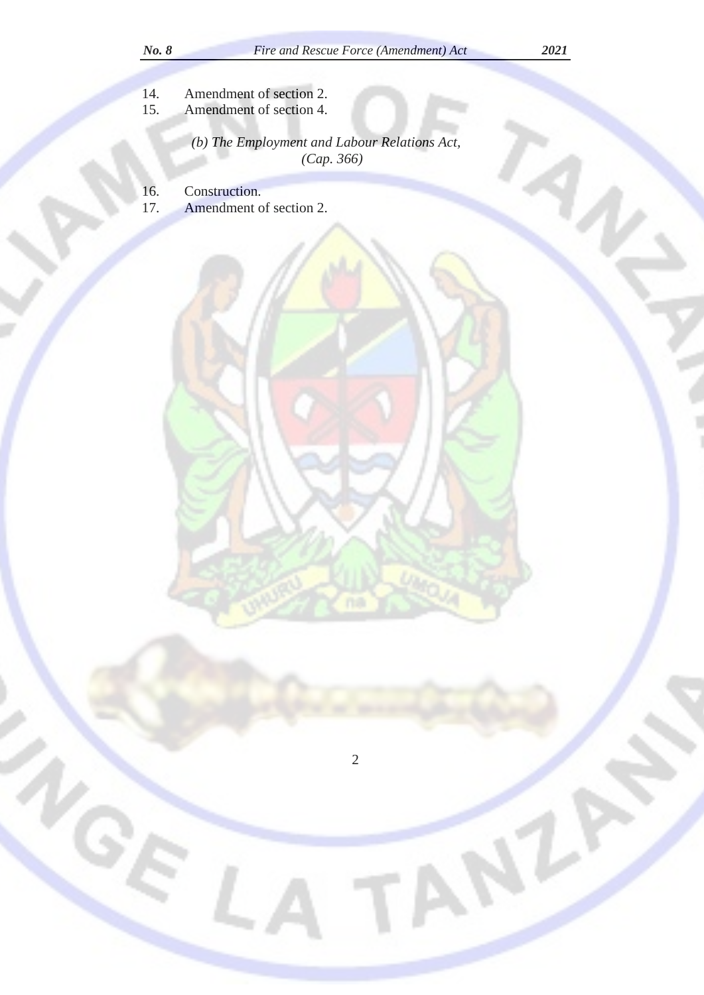- 14. Amendment of section 2.<br>15. Amendment of section 4.
	- Amendment of section 4.

## *(b) The Employment and Labour Relations Act, (Cap. 366)*

- 16. Construction.
- 17. Amendment of section 2.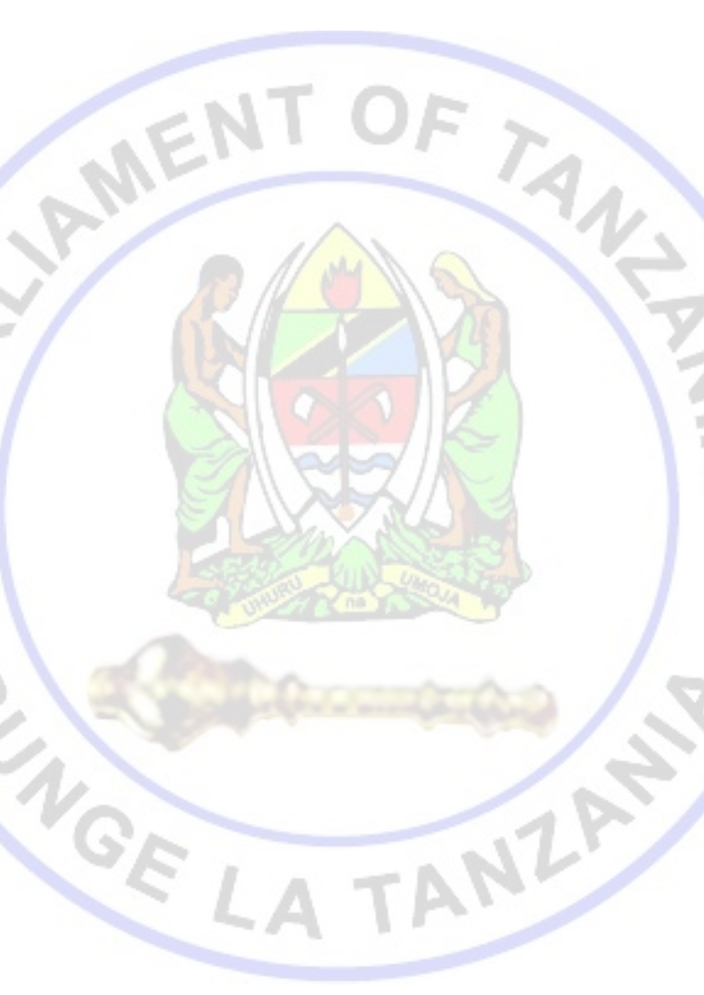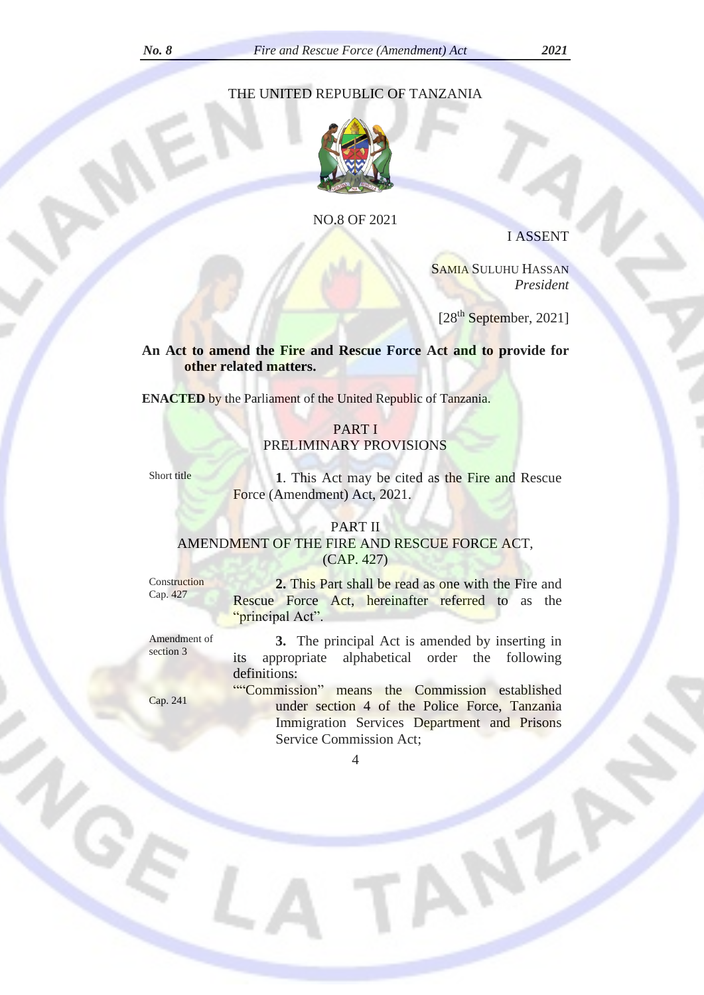### THE UNITED REPUBLIC OF TANZANIA



NO.8 OF 2021

I ASSENT

SAMIA SULUHU HASSAN *President*

 $[28<sup>th</sup> September, 2021]$ 

**An Act to amend the Fire and Rescue Force Act and to provide for other related matters.**

**ENACTED** by the Parliament of the United Republic of Tanzania.

### PART I PRELIMINARY PROVISIONS

Short title **1**. This Act may be cited as the Fire and Rescue Force (Amendment) Act, 2021.

### PART II

### AMENDMENT OF THE FIRE AND RESCUE FORCE ACT, (CAP. 427)

**Construction** Cap. 427

**2.** This Part shall be read as one with the Fire and Rescue Force Act, hereinafter referred to as the "principal Act".

Amendment of section 3 **3.** The principal Act is amended by inserting in its appropriate alphabetical order the following definitions:

Cap. 241

 $\nu_{\epsilon}$ 

""Commission" means the Commission established under section 4 of the Police Force, Tanzania Immigration Services Department and Prisons Service Commission Act;

 $\Delta$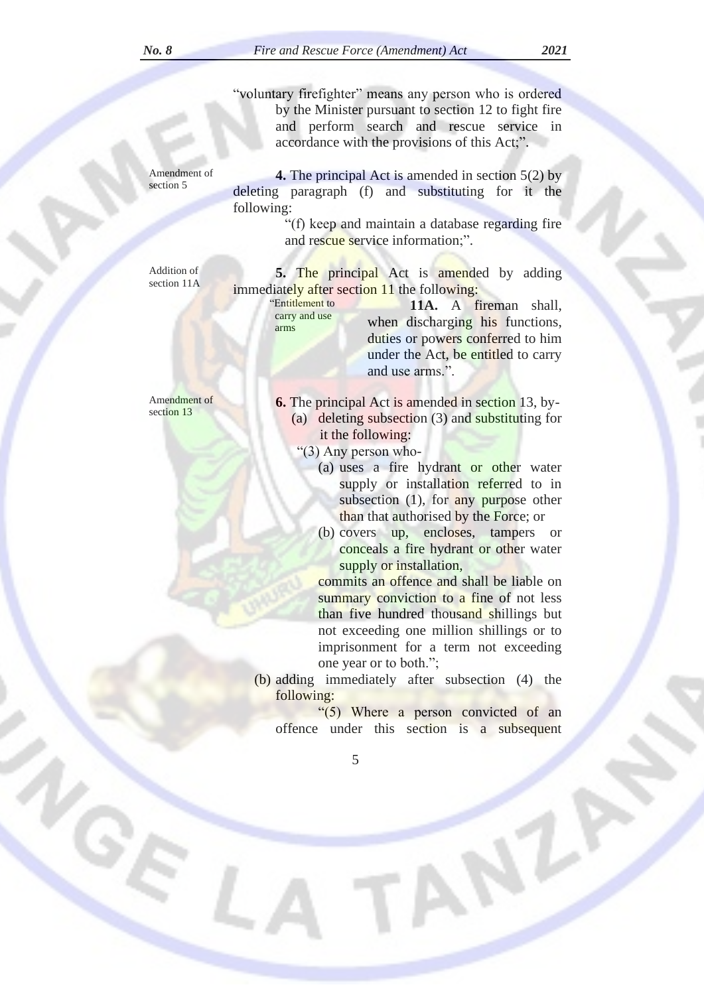"voluntary firefighter" means any person who is ordered by the Minister pursuant to section 12 to fight fire and perform search and rescue service in accordance with the provisions of this Act;".

Amendment of section 5

**4.** The principal Act is amended in section 5(2) by deleting paragraph (f) and substituting for it the following:

> "(f) keep and maintain a database regarding fire and rescue service information;".

Addition of section 11A

Amendment of section 13

**5.** The principal Act is amended by adding immediately after section 11 the following: "Entitlement to

**11A.** A fireman shall, when discharging his functions, duties or powers conferred to him under the Act, be entitled to carry and use arms.".

**6.** The principal Act is amended in section 13, by-

(a) deleting subsection (3) and substituting for it the following:

"(3) Any person who-

carry and use arms

- (a) uses a fire hydrant or other water supply or installation referred to in subsection  $(1)$ , for any purpose other than that authorised by the Force; or
- (b) covers up, encloses, tampers or conceals a fire hydrant or other water supply or installation,

commits an offence and shall be liable on summary conviction to a fine of not less than five hundred thousand shillings but not exceeding one million shillings or to imprisonment for a term not exceeding one year or to both.";

(b) adding immediately after subsection (4) the following:

"(5) Where a person convicted of an offence under this section is a subsequent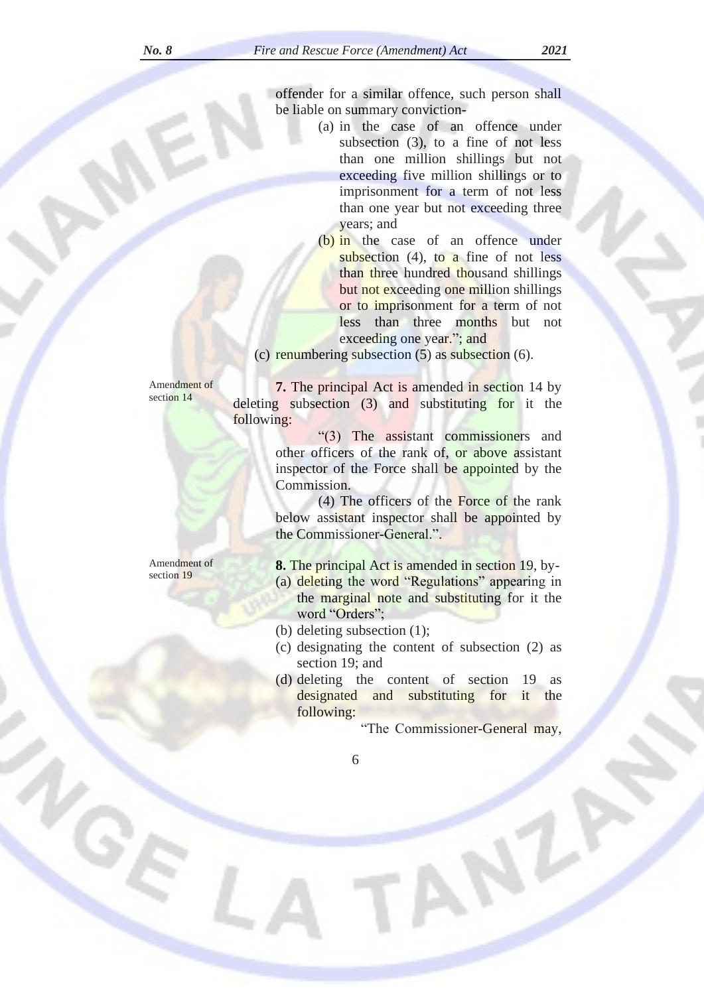offender for a similar offence, such person shall be liable on summary conviction-

- (a) in the case of an offence under subsection (3), to a fine of not less than one million shillings but not exceeding five million shillings or to imprisonment for a term of not less than one year but not exceeding three years; and
- $(b)$  in the case of an offence under subsection  $(4)$ , to a fine of not less than three hundred thousand shillings but not exceeding one million shillings or to imprisonment for a term of not less than three months but not exceeding one year."; and
- (c) renumbering subsection  $(5)$  as subsection  $(6)$ .

**7.** The principal Act is amended in section 14 by deleting subsection (3) and substituting for it the following:

> "(3) The assistant commissioners and other officers of the rank of, or above assistant inspector of the Force shall be appointed by the Commission.

> (4) The officers of the Force of the rank below assistant inspector shall be appointed by the Commissioner-General.".

> **8.** The principal Act is amended in section 19, by-

- (a) deleting the word "Regulations" appearing in the marginal note and substituting for it the word "Orders":
- (b) deleting subsection (1);

6

- (c) designating the content of subsection (2) as section 19; and
- (d) deleting the content of section 19 as designated and substituting for it the following:

"The Commissioner-General may,

Amendment of section 14

Amendment of section 19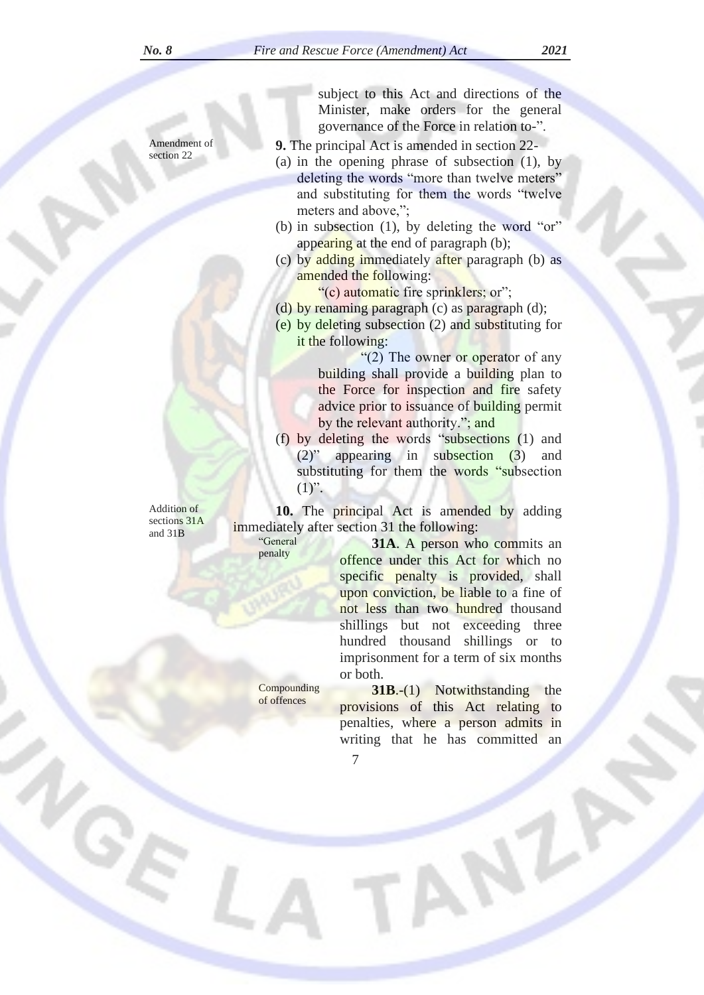Amendment of section 22

Addition of sections 31A and 31B

subject to this Act and directions of the Minister, make orders for the general governance of the Force in relation to-".

- **9.** The principal Act is amended in section 22-
- (a) in the opening phrase of subsection (1), by deleting the words "more than twelve meters" and substituting for them the words "twelve meters and above,";
- (b) in subsection (1), by deleting the word "or" appearing at the end of paragraph (b);
- (c) by adding immediately after paragraph (b) as amended the following:

"(c) automatic fire sprinklers; or";

- (d) by renaming paragraph (c) as paragraph (d);
- (e) by deleting subsection (2) and substituting for it the following:

"(2) The owner or operator of any building shall provide a building plan to the Force for inspection and fire safety advice prior to issuance of building permit by the relevant authority."; and

(f) by deleting the words "subsections (1) and (2)" appearing in subsection (3) and substituting for them the words "subsection"  $(1)$ ".

10. The principal Act is amended by adding immediately after section 31 the following:

"General penalty

**31A**. A person who commits an offence under this Act for which no specific penalty is provided, shall upon conviction, be liable to a fine of not less than two hundred thousand shillings but not exceeding three hundred thousand shillings or to imprisonment for a term of six months or both.

Compounding of offences

**31B.-(1)** Notwithstanding the provisions of this Act relating to penalties, where a person admits in writing that he has committed an

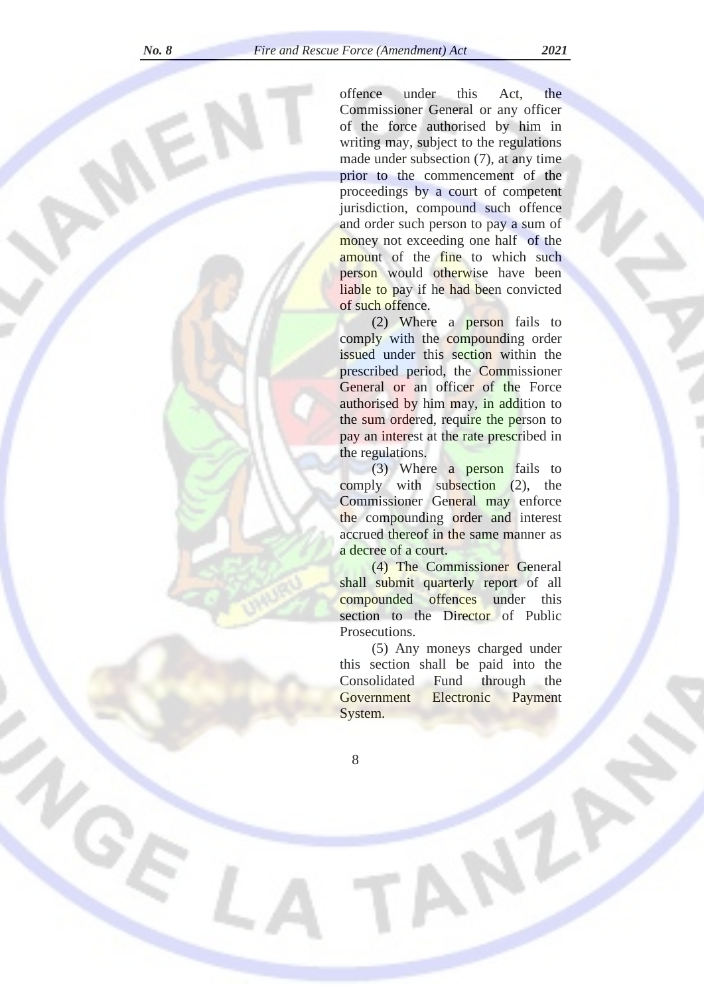offence under this Act, the Commissioner General or any officer of the force authorised by him in writing may, subject to the regulations made under subsection (7), at any time prior to the commencement of the proceedings by a court of competent jurisdiction, compound such offence and order such person to pay a sum of money not exceeding one half of the amount of the fine to which such person would otherwise have been liable to pay if he had been convicted of such offence.

(2) Where a person fails to comply with the compounding order issued under this section within the prescribed period, the Commissioner General or an officer of the Force authorised by him may, in addition to the sum ordered, require the person to pay an interest at the rate prescribed in the regulations.

(3) Where a person fails to comply with subsection (2), the Commissioner General may enforce the compounding order and interest accrued thereof in the same manner as a decree of a court.

(4) The Commissioner General shall submit quarterly report of all compounded offences under this section to the Director of Public Prosecutions.

(5) Any moneys charged under this section shall be paid into the Consolidated Fund through the Government Electronic Payment System.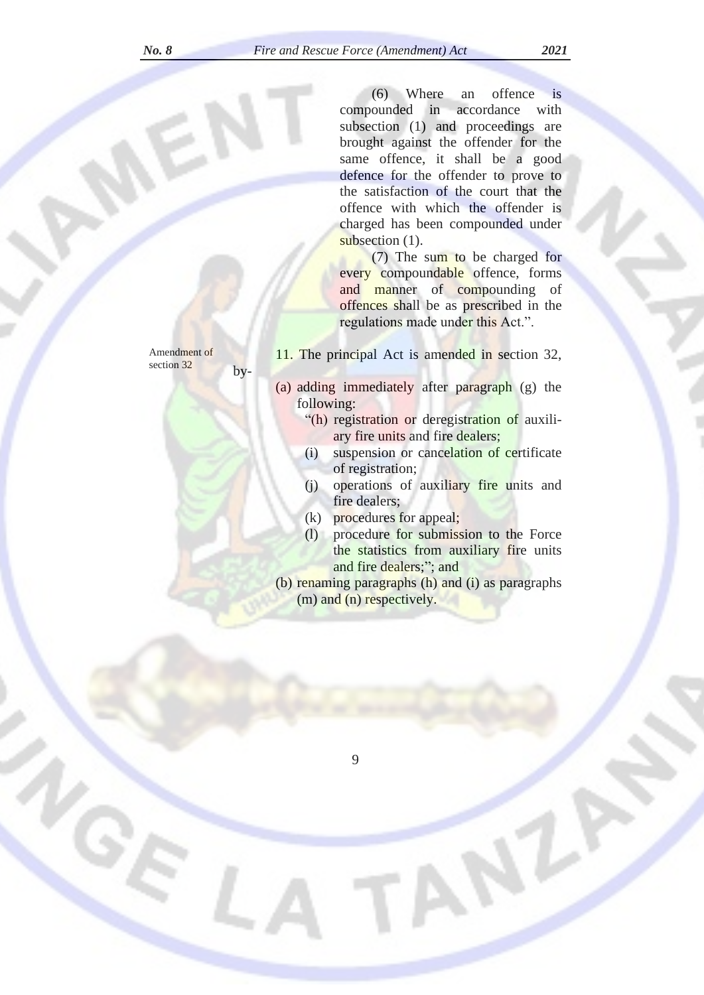(6) Where an offence is compounded in accordance with subsection (1) and proceedings are brought against the offender for the same offence, it shall be a good defence for the offender to prove to the satisfaction of the court that the offence with which the offender is charged has been compounded under subsection (1).

(7) The sum to be charged for every compoundable offence, forms and manner of compounding of offences shall be as prescribed in the regulations made under this Act.".

11. The principal Act is amended in section 32,

- (a) adding immediately after paragraph (g) the following:
	- "(h) registration or deregistration of auxiliary fire units and fire dealers;
	- (i) suspension or cancelation of certificate of registration;
	- (j) operations of auxiliary fire units and fire dealers;
	- (k) procedures for appeal;
	- (l) procedure for submission to the Force the statistics from auxiliary fire units and fire dealers;"; and
- (b) renaming paragraphs (h) and (i) as paragraphs (m) and (n) respectively.

Amendment of section 32 by-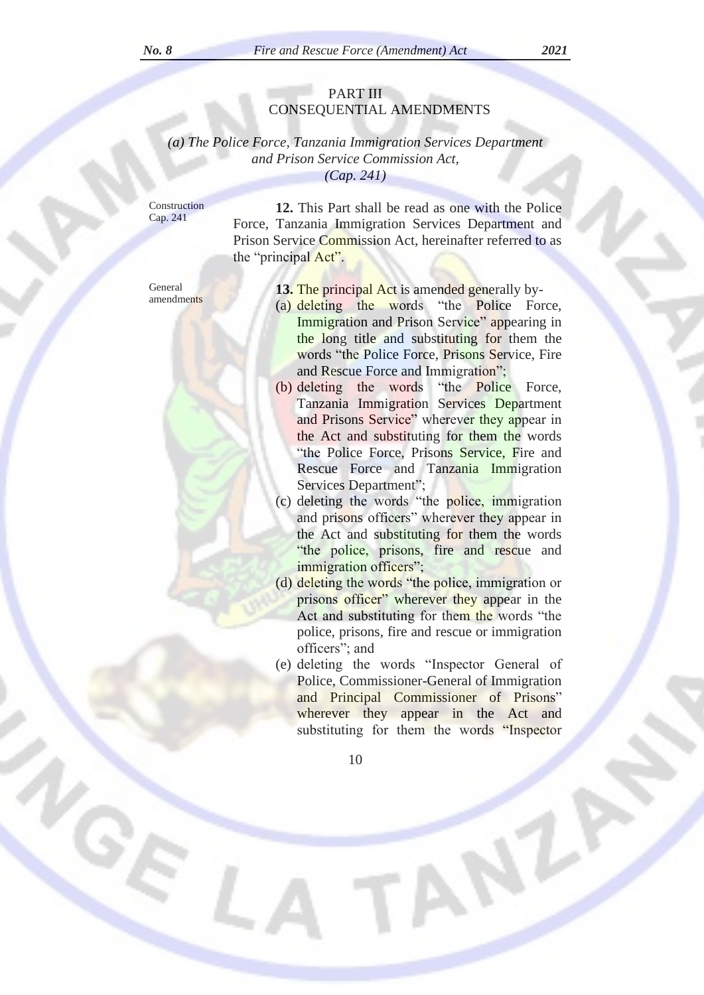## PART III CONSEQUENTIAL AMENDMENTS

*(a) The Police Force, Tanzania Immigration Services Department and Prison Service Commission Act, (Cap. 241)*

**Construction** Cap. 241

**12.** This Part shall be read as one with the Police Force, Tanzania Immigration Services Department and Prison Service Commission Act, hereinafter referred to as the "principal Act".

General amendments 13. The principal Act is amended generally by-

- (a) deleting the words "the Police Force, Immigration and Prison Service" appearing in the long title and substituting for them the words "the Police Force, Prisons Service, Fire and Rescue Force and Immigration";
- (b) deleting the words "the Police Force, Tanzania Immigration Services Department and Prisons Service" wherever they appear in the Act and substituting for them the words "the Police Force, Prisons Service, Fire and Rescue Force and Tanzania Immigration Services Department";
- (c) deleting the words "the police, immigration and prisons officers" wherever they appear in the Act and substituting for them the words "the police, prisons, fire and rescue and immigration officers";
- (d) deleting the words "the police, immigration or prisons officer" wherever they appear in the Act and substituting for them the words "the police, prisons, fire and rescue or immigration officers"; and
- (e) deleting the words "Inspector General of Police, Commissioner-General of Immigration and Principal Commissioner of Prisons" wherever they appear in the Act and substituting for them the words "Inspector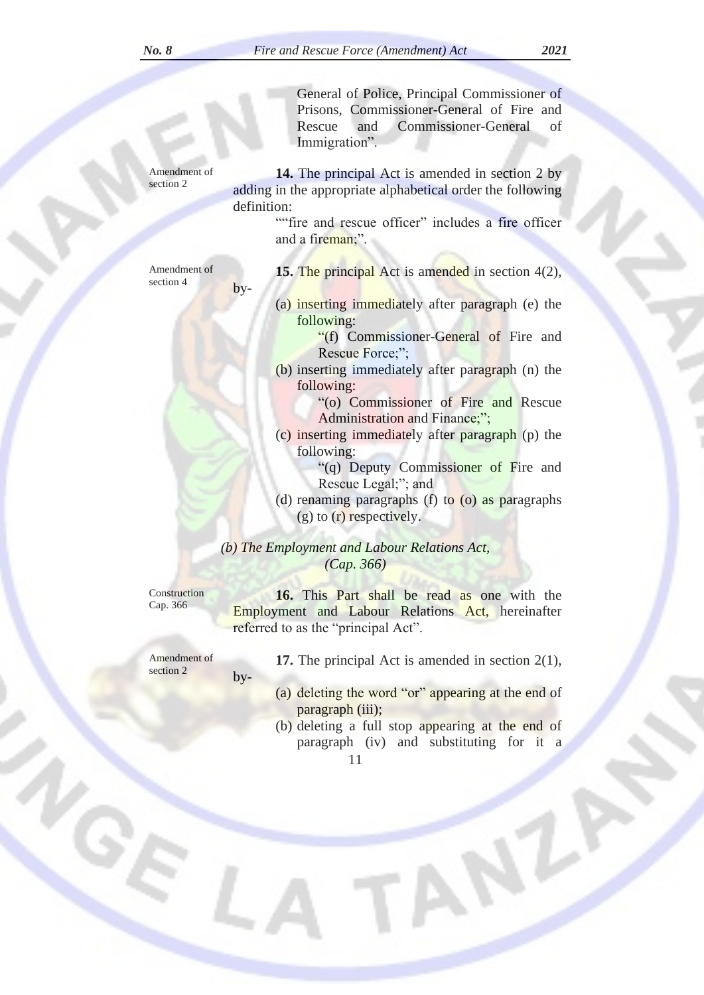General of Police, Principal Commissioner of Prisons, Commissioner-General of Fire and Rescue and Commissioner-General of Immigration".

Amendment of section 2

**14.** The principal Act is amended in section 2 by adding in the appropriate alphabetical order the following definition:

> ""fire and rescue officer" includes a fire officer and a fireman;".

Amendment of section 4 by-

**15.** The principal Act is amended in section 4(2),

(a) inserting immediately after paragraph (e) the following:

> "(f) Commissioner-General of Fire and Rescue Force;":

(b) inserting immediately after paragraph (n) the following:

> "(o) Commissioner of Fire and Rescue Administration and Finance;";

- (c) inserting immediately after paragraph (p) the following:
	- "(q) Deputy Commissioner of Fire and Rescue Legal;"; and
- (d) renaming paragraphs (f) to  $(o)$  as paragraphs  $(g)$  to  $(r)$  respectively.

### *(b) The Employment and Labour Relations Act, (Cap. 366)*

**Construction** Cap. 366

**16.** This Part shall be read as one with the Employment and Labour Relations Act, hereinafter referred to as the "principal Act".

Amendment of section 2

 $\nu_{\epsilon}$ 

by-

**17.** The principal Act is amended in section 2(1),

- (a) deleting the word "or" appearing at the end of paragraph (iii);
- 11 (b) deleting a full stop appearing at the end of paragraph (iv) and substituting for it a